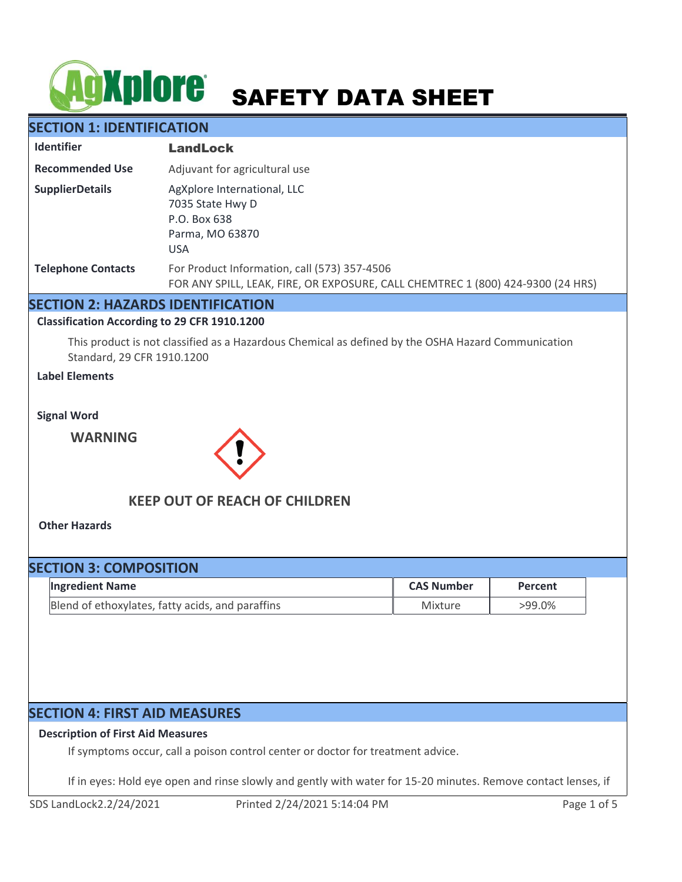# **AgXplore** SAFETY DATA SHEET

# **SECTION 1: IDENTIFICATION**

| <b>Identifier</b>         | <b>LandLock</b>                                                                                                                 |
|---------------------------|---------------------------------------------------------------------------------------------------------------------------------|
| <b>Recommended Use</b>    | Adjuvant for agricultural use                                                                                                   |
| <b>SupplierDetails</b>    | AgXplore International, LLC<br>7035 State Hwy D<br>P.O. Box 638<br>Parma, MO 63870<br><b>USA</b>                                |
| <b>Telephone Contacts</b> | For Product Information, call (573) 357-4506<br>FOR ANY SPILL, LEAK, FIRE, OR EXPOSURE, CALL CHEMTREC 1 (800) 424-9300 (24 HRS) |

## **SECTION 2: HAZARDS IDENTIFICATION**

#### **Classification According to 29 CFR 1910.1200**

This product is not classified as a Hazardous Chemical as defined by the OSHA Hazard Communication Standard, 29 CFR 1910.1200

## **Label Elements**

**Signal Word**

**WARNING**



# **KEEP OUT OF REACH OF CHILDREN**

**Other Hazards**

# **SECTION 3: COMPOSITION**

| <b>Ingredient Name</b>                           | <b>CAS Number</b> | Percent |
|--------------------------------------------------|-------------------|---------|
| Blend of ethoxylates, fatty acids, and paraffins | Mixture           | >99.0%  |

# **SECTION 4: FIRST AID MEASURES**

## **Description of First Aid Measures**

If symptoms occur, call a poison control center or doctor for treatment advice.

If in eyes: Hold eye open and rinse slowly and gently with water for 15-20 minutes. Remove contact lenses, if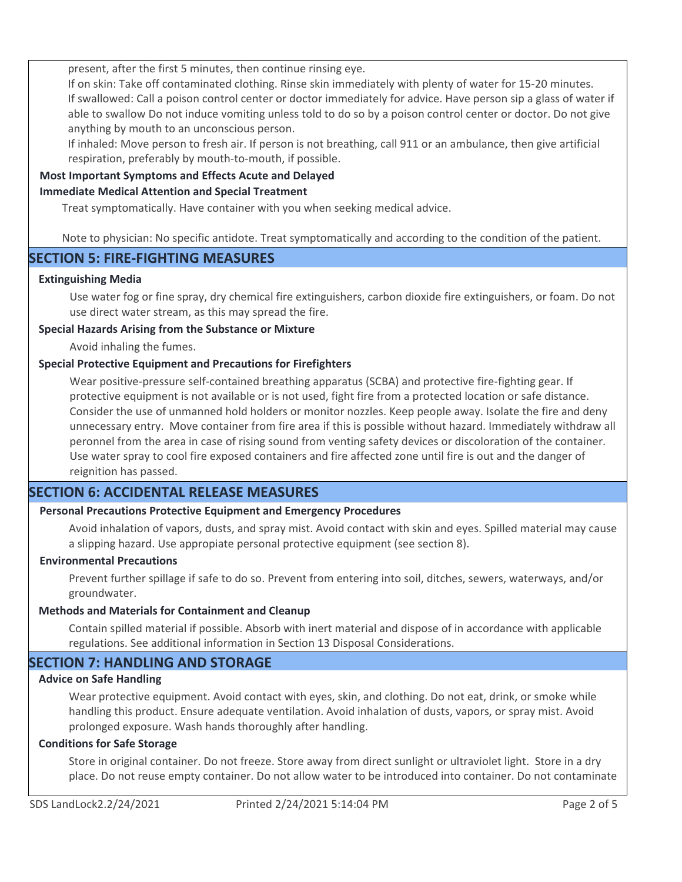present, after the first 5 minutes, then continue rinsing eye.

If on skin: Take off contaminated clothing. Rinse skin immediately with plenty of water for 15-20 minutes. If swallowed: Call a poison control center or doctor immediately for advice. Have person sip a glass of water if able to swallow Do not induce vomiting unless told to do so by a poison control center or doctor. Do not give anything by mouth to an unconscious person.

If inhaled: Move person to fresh air. If person is not breathing, call 911 or an ambulance, then give artificial respiration, preferably by mouth-to-mouth, if possible.

## **Most Important Symptoms and Effects Acute and Delayed**

## **Immediate Medical Attention and Special Treatment**

Treat symptomatically. Have container with you when seeking medical advice.

Note to physician: No specific antidote. Treat symptomatically and according to the condition of the patient.

# **SECTION 5: FIRE-FIGHTING MEASURES**

#### **Extinguishing Media**

Use water fog or fine spray, dry chemical fire extinguishers, carbon dioxide fire extinguishers, or foam. Do not use direct water stream, as this may spread the fire.

## **Special Hazards Arising from the Substance or Mixture**

Avoid inhaling the fumes.

## **Special Protective Equipment and Precautions for Firefighters**

Wear positive-pressure self-contained breathing apparatus (SCBA) and protective fire-fighting gear. If protective equipment is not available or is not used, fight fire from a protected location or safe distance. Consider the use of unmanned hold holders or monitor nozzles. Keep people away. Isolate the fire and deny unnecessary entry. Move container from fire area if this is possible without hazard. Immediately withdraw all peronnel from the area in case of rising sound from venting safety devices or discoloration of the container. Use water spray to cool fire exposed containers and fire affected zone until fire is out and the danger of reignition has passed.

# **SECTION 6: ACCIDENTAL RELEASE MEASURES**

## **Personal Precautions Protective Equipment and Emergency Procedures**

Avoid inhalation of vapors, dusts, and spray mist. Avoid contact with skin and eyes. Spilled material may cause a slipping hazard. Use appropiate personal protective equipment (see section 8).

#### **Environmental Precautions**

Prevent further spillage if safe to do so. Prevent from entering into soil, ditches, sewers, waterways, and/or groundwater.

#### **Methods and Materials for Containment and Cleanup**

Contain spilled material if possible. Absorb with inert material and dispose of in accordance with applicable regulations. See additional information in Section 13 Disposal Considerations.

# **SECTION 7: HANDLING AND STORAGE**

#### **Advice on Safe Handling**

Wear protective equipment. Avoid contact with eyes, skin, and clothing. Do not eat, drink, or smoke while handling this product. Ensure adequate ventilation. Avoid inhalation of dusts, vapors, or spray mist. Avoid prolonged exposure. Wash hands thoroughly after handling.

#### **Conditions for Safe Storage**

Store in original container. Do not freeze. Store away from direct sunlight or ultraviolet light. Store in a dry place. Do not reuse empty container. Do not allow water to be introduced into container. Do not contaminate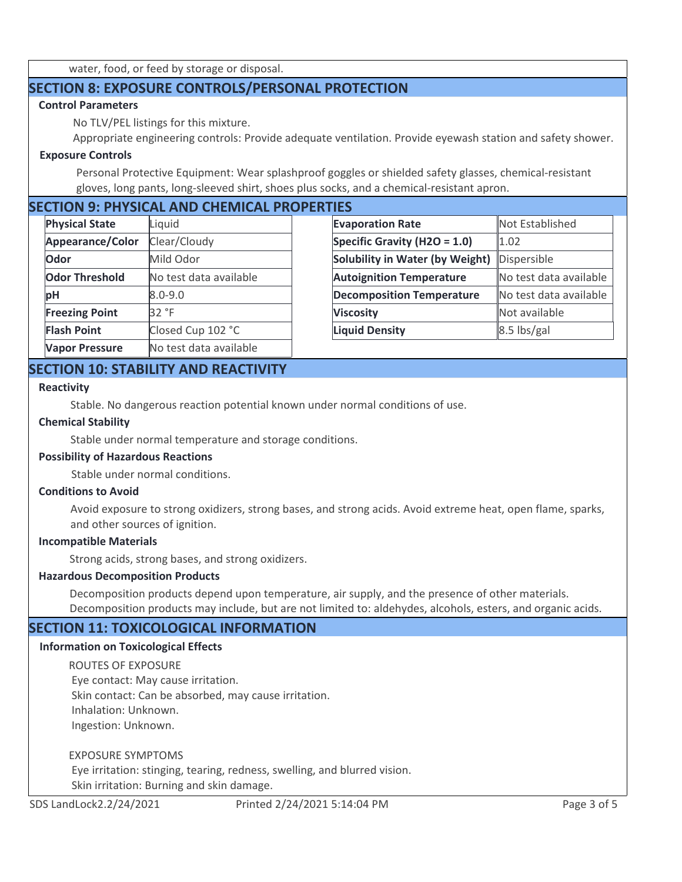water, food, or feed by storage or disposal.

# **SECTION 8: EXPOSURE CONTROLS/PERSONAL PROTECTION**

## **Control Parameters**

No TLV/PEL listings for this mixture.

Appropriate engineering controls: Provide adequate ventilation. Provide eyewash station and safety shower.

## **Exposure Controls**

Personal Protective Equipment: Wear splashproof goggles or shielded safety glasses, chemical-resistant gloves, long pants, long-sleeved shirt, shoes plus socks, and a chemical-resistant apron.

# **SECTION 9: PHYSICAL AND CHEMICAL PROPERTIES**

| <b>Physical State</b> | Liquid                 | <b>Evaporation Rate</b>          | Not Established        |
|-----------------------|------------------------|----------------------------------|------------------------|
| Appearance/Color      | Clear/Cloudy           | Specific Gravity (H2O = 1.0)     | 1.02                   |
| Odor                  | Mild Odor              | Solubility in Water (by Weight)  | Dispersible            |
| <b>Odor Threshold</b> | No test data available | <b>Autoignition Temperature</b>  | No test data available |
| рH                    | $8.0 - 9.0$            | <b>Decomposition Temperature</b> | No test data available |
| <b>Freezing Point</b> | 32 °F                  | <b>Viscosity</b>                 | Not available          |
| <b>Flash Point</b>    | Closed Cup 102 °C      | <b>Liquid Density</b>            | $8.5$ lbs/gal          |
| <b>Vapor Pressure</b> | No test data available |                                  |                        |

# **SECTION 10: STABILITY AND REACTIVITY**

#### **Reactivity**

Stable. No dangerous reaction potential known under normal conditions of use.

#### **Chemical Stability**

Stable under normal temperature and storage conditions.

## **Possibility of Hazardous Reactions**

Stable under normal conditions.

#### **Conditions to Avoid**

Avoid exposure to strong oxidizers, strong bases, and strong acids. Avoid extreme heat, open flame, sparks, and other sources of ignition.

#### **Incompatible Materials**

Strong acids, strong bases, and strong oxidizers.

#### **Hazardous Decomposition Products**

Decomposition products depend upon temperature, air supply, and the presence of other materials. Decomposition products may include, but are not limited to: aldehydes, alcohols, esters, and organic acids.

## **SECTION 11: TOXICOLOGICAL INFORMATION**

#### **Information on Toxicological Effects**

ROUTES OF EXPOSURE Eye contact: May cause irritation. Skin contact: Can be absorbed, may cause irritation. Inhalation: Unknown. Ingestion: Unknown.

EXPOSURE SYMPTOMS

 Eye irritation: stinging, tearing, redness, swelling, and blurred vision. Skin irritation: Burning and skin damage.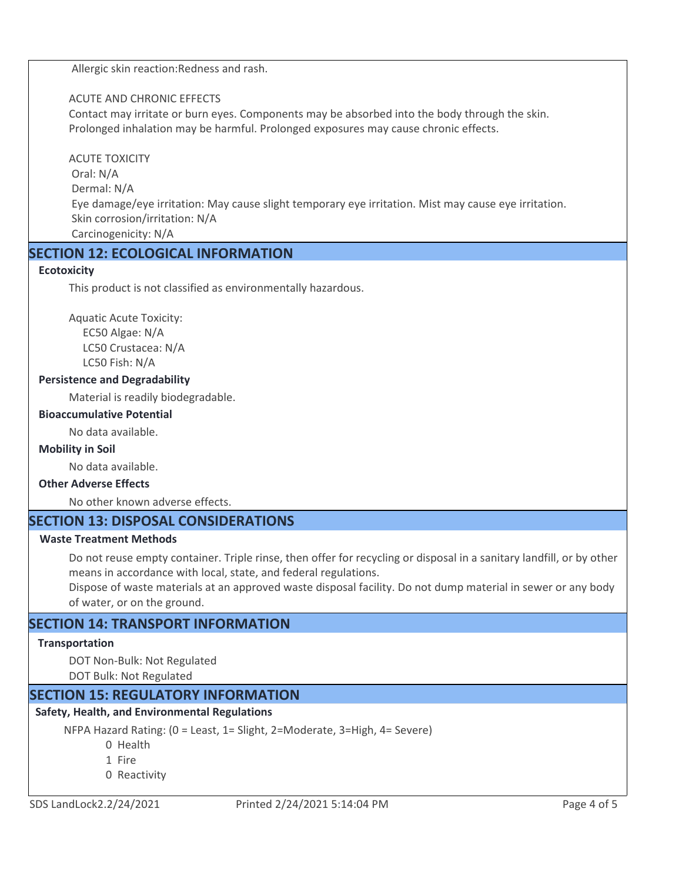Allergic skin reaction:Redness and rash.

## ACUTE AND CHRONIC EFFECTS

Contact may irritate or burn eyes. Components may be absorbed into the body through the skin. Prolonged inhalation may be harmful. Prolonged exposures may cause chronic effects.

## ACUTE TOXICITY

 Oral: N/A Dermal: N/A Eye damage/eye irritation: May cause slight temporary eye irritation. Mist may cause eye irritation. Skin corrosion/irritation: N/A Carcinogenicity: N/A

# **SECTION 12: ECOLOGICAL INFORMATION**

## **Ecotoxicity**

This product is not classified as environmentally hazardous.

Aquatic Acute Toxicity: EC50 Algae: N/A LC50 Crustacea: N/A LC50 Fish: N/A

## **Persistence and Degradability**

Material is readily biodegradable.

#### **Bioaccumulative Potential**

No data available.

#### **Mobility in Soil**

No data available.

## **Other Adverse Effects**

No other known adverse effects.

# **SECTION 13: DISPOSAL CONSIDERATIONS**

#### **Waste Treatment Methods**

Do not reuse empty container. Triple rinse, then offer for recycling or disposal in a sanitary landfill, or by other means in accordance with local, state, and federal regulations.

Dispose of waste materials at an approved waste disposal facility. Do not dump material in sewer or any body of water, or on the ground.

# **SECTION 14: TRANSPORT INFORMATION**

#### **Transportation**

DOT Non-Bulk: Not Regulated

DOT Bulk: Not Regulated

# **SECTION 15: REGULATORY INFORMATION**

# **Safety, Health, and Environmental Regulations**

NFPA Hazard Rating: (0 = Least, 1= Slight, 2=Moderate, 3=High, 4= Severe)

0 Health

- 1 Fire
- 0 Reactivity